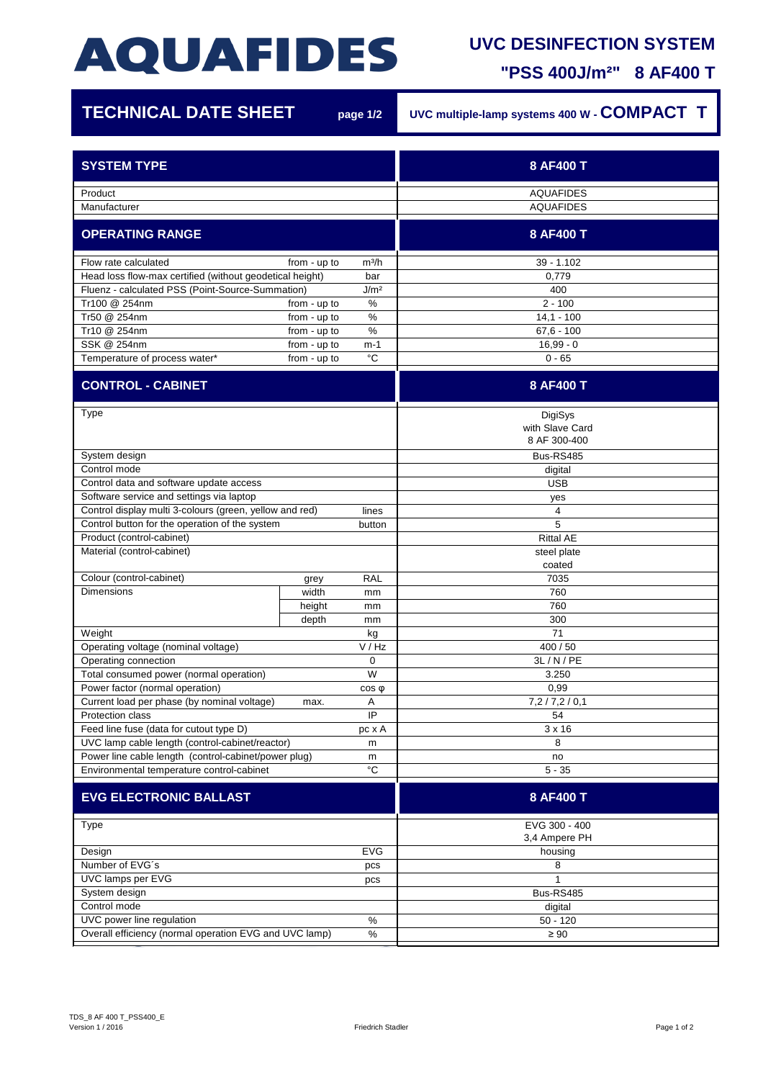## **AQUAFIDES**

## **UVC DESINFECTION SYSTEM**

**"PSS 400J/m²" 8 AF400 T**

| <b>TECHNICAL DATE SHEET</b>                                          |              | page 1/2         | UVC multiple-lamp systems 400 W - COMPACT T |
|----------------------------------------------------------------------|--------------|------------------|---------------------------------------------|
| <b>SYSTEM TYPE</b>                                                   |              |                  | 8 AF400 T                                   |
| Product                                                              |              |                  | <b>AQUAFIDES</b>                            |
| Manufacturer                                                         |              |                  | <b>AQUAFIDES</b>                            |
| <b>OPERATING RANGE</b>                                               |              |                  | 8 AF400 T                                   |
| Flow rate calculated<br>from - up to<br>m <sup>3</sup> /h            |              |                  | $39 - 1.102$                                |
| Head loss flow-max certified (without geodetical height)<br>bar      |              |                  | 0,779                                       |
| Fluenz - calculated PSS (Point-Source-Summation)<br>J/m <sup>2</sup> |              |                  | 400                                         |
| Tr100 @ 254nm                                                        | from - up to | $\%$             | $2 - 100$                                   |
| Tr50 @ 254nm                                                         | from - up to | %                | $14,1 - 100$                                |
| Tr10 @ 254nm                                                         | from - up to | $\%$             | $67,6 - 100$                                |
| SSK @ 254nm                                                          | from - up to | m-1              | $16,99 - 0$                                 |
| Temperature of process water*                                        | from - up to | $^{\circ}C$      | $0 - 65$                                    |
| <b>CONTROL - CABINET</b>                                             |              |                  | 8 AF400 T                                   |
| Type                                                                 |              |                  | DigiSys<br>with Slave Card<br>8 AF 300-400  |
| System design                                                        |              |                  | Bus-RS485                                   |
| Control mode                                                         |              |                  | digital                                     |
| Control data and software update access                              |              |                  | <b>USB</b>                                  |
| Software service and settings via laptop                             |              |                  | yes                                         |
| Control display multi 3-colours (green, yellow and red)<br>lines     |              |                  | 4                                           |
| Control button for the operation of the system<br>button             |              |                  | 5                                           |
| Product (control-cabinet)                                            |              |                  | <b>Rittal AE</b>                            |
| Material (control-cabinet)                                           |              |                  | steel plate                                 |
|                                                                      |              |                  | coated                                      |
| Colour (control-cabinet)                                             | grey         | <b>RAL</b>       | 7035                                        |
| <b>Dimensions</b>                                                    | width        | mm               | 760                                         |
|                                                                      | height       | mm               | 760                                         |
|                                                                      | depth        | mm               | 300                                         |
| Weight                                                               |              | kg               | 71                                          |
| Operating voltage (nominal voltage)                                  |              | V / Hz           | 400 / 50                                    |
| Operating connection                                                 |              | 0                | 3L/N/PE                                     |
| W<br>Total consumed power (normal operation)                         |              |                  | 3.250                                       |
| Power factor (normal operation)                                      |              | COS <sub>Q</sub> | 0,99                                        |
| Current load per phase (by nominal voltage)<br>Α<br>max.             |              |                  | 7,2/7,2/0,1                                 |
| Protection class<br>IP                                               |              |                  | 54                                          |
| Feed line fuse (data for cutout type D)<br>pc x A                    |              |                  | $3 \times 16$                               |
| UVC lamp cable length (control-cabinet/reactor)<br>m                 |              |                  | 8                                           |
| Power line cable length (control-cabinet/power plug)<br>m            |              |                  | no                                          |
| $^{\circ}{\rm C}$<br>Environmental temperature control-cabinet       |              |                  | $5 - 35$                                    |
| <b>EVG ELECTRONIC BALLAST</b>                                        |              |                  | 8 AF400 T                                   |
| Type                                                                 |              |                  | EVG 300 - 400                               |
| <b>EVG</b>                                                           |              |                  | 3,4 Ampere PH                               |
| Design<br>Number of EVG's                                            |              |                  | housing<br>8                                |
| pcs<br>UVC lamps per EVG                                             |              |                  |                                             |
| pcs                                                                  |              |                  |                                             |
| System design<br>Control mode                                        |              |                  | Bus-RS485                                   |
| UVC power line regulation<br>$\%$                                    |              |                  | digital<br>$50 - 120$                       |
|                                                                      |              |                  |                                             |
| Overall efficiency (normal operation EVG and UVC lamp)<br>$\%$       |              |                  | $\geq 90$                                   |